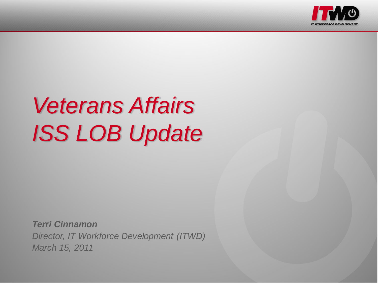

# *Veterans Affairs ISS LOB Update*

*Terri Cinnamon Director, IT Workforce Development (ITWD) March 15, 2011*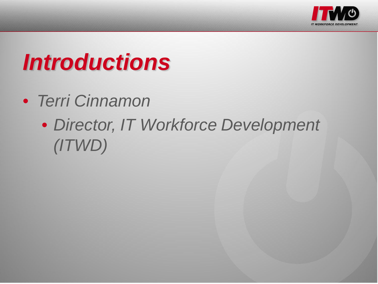

# *Introductions*

- *Terri Cinnamon*
	- *Director, IT Workforce Development (ITWD)*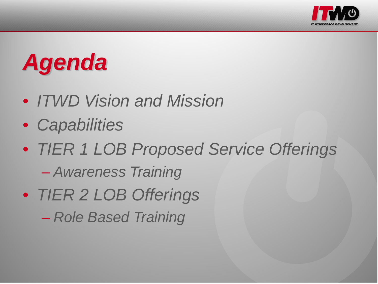

# *Agenda*

- *ITWD Vision and Mission*
- *Capabilities*
- *TIER 1 LOB Proposed Service Offerings*
	- *Awareness Training*
- *TIER 2 LOB Offerings* – *Role Based Training*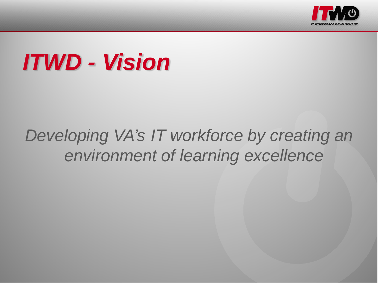

### *ITWD - Vision*

#### *Developing VA's IT workforce by creating an environment of learning excellence*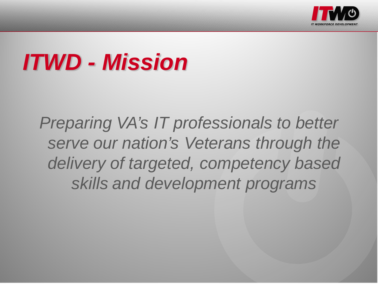

# *ITWD - Mission*

*Preparing VA's IT professionals to better serve our nation's Veterans through the delivery of targeted, competency based skills and development programs*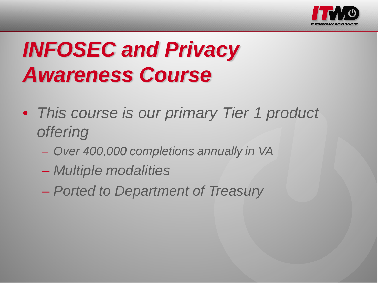

# *INFOSEC and Privacy Awareness Course*

- *This course is our primary Tier 1 product offering*
	- *Over 400,000 completions annually in VA*
	- *Multiple modalities*
	- *Ported to Department of Treasury*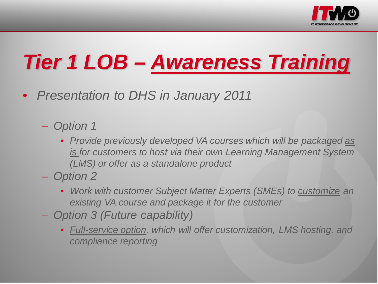

# *Tier 1 LOB – Awareness Training*

- *Presentation to DHS in January 2011*
	- *Option 1*
		- *Provide previously developed VA courses which will be packaged as is for customers to host via their own Learning Management System (LMS) or offer as a standalone product*
	- *Option 2*
		- *Work with customer Subject Matter Experts (SMEs) to customize an existing VA course and package it for the customer*
	- *Option 3 (Future capability)*
		- *Full-service option, which will offer customization, LMS hosting, and compliance reporting*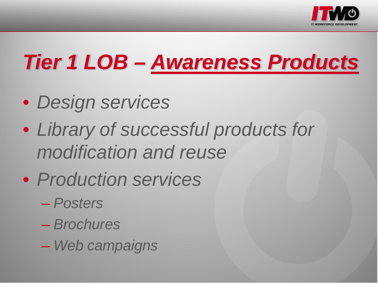

# *Tier 1 LOB – Awareness Products*

- *Design services*
- *Library of successful products for modification and reuse*
- *Production services*
	- *Posters*
	- *Brochures*
	- *Web campaigns*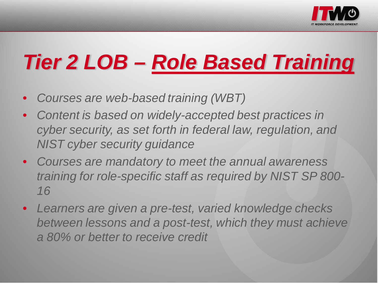

# *Tier 2 LOB – Role Based Training*

- *Courses are web-based training (WBT)*
- *Content is based on widely-accepted best practices in cyber security, as set forth in federal law, regulation, and NIST cyber security guidance*
- *Courses are mandatory to meet the annual awareness training for role-specific staff as required by NIST SP 800- 16*
- *Learners are given a pre-test, varied knowledge checks between lessons and a post-test, which they must achieve a 80% or better to receive credit*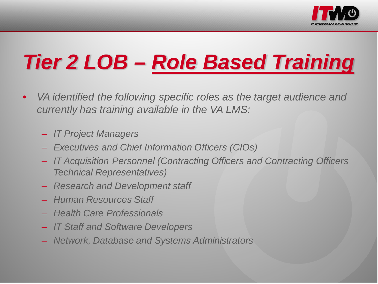

# *Tier 2 LOB – Role Based Training*

- *VA identified the following specific roles as the target audience and currently has training available in the VA LMS:*
	- *IT Project Managers*
	- *Executives and Chief Information Officers (CIOs)*
	- *IT Acquisition Personnel (Contracting Officers and Contracting Officers Technical Representatives)*
	- *Research and Development staff*
	- *Human Resources Staff*
	- *Health Care Professionals*
	- *IT Staff and Software Developers*
	- *Network, Database and Systems Administrators*